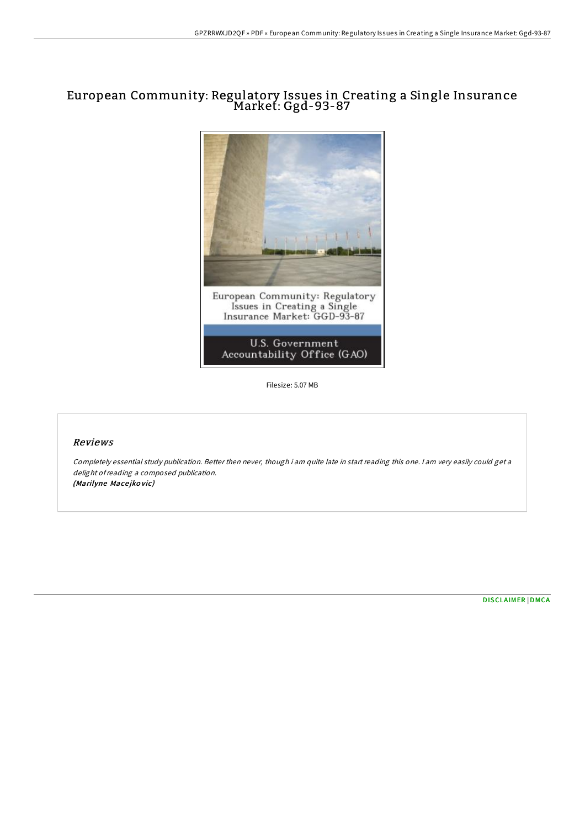## European Community: Regulatory Issues in Creating a Single Insurance Market: Ggd-93-87



Filesize: 5.07 MB

## Reviews

Completely essential study publication. Better then never, though i am quite late in start reading this one. I am very easily could get <sup>a</sup> delight ofreading <sup>a</sup> composed publication. (Marilyne Macejkovic)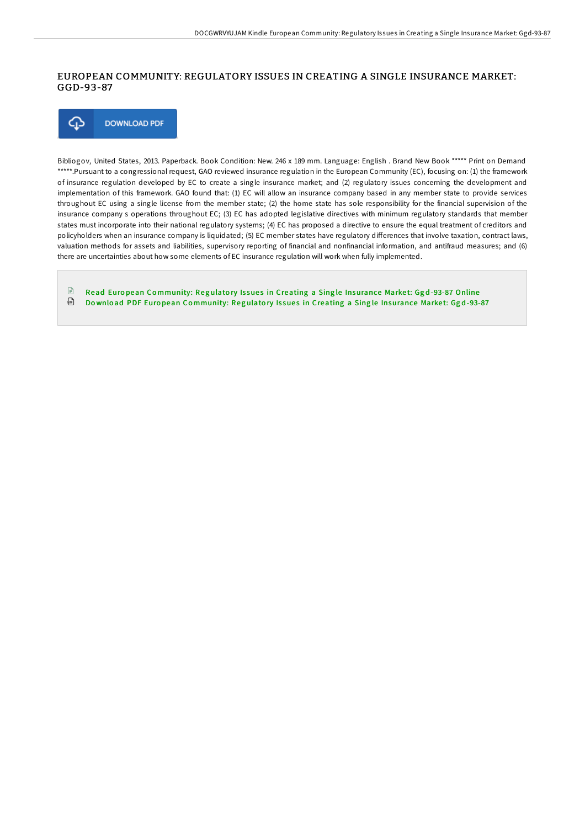## EUROPEAN COMMUNITY: REGULATORY ISSUES IN CREATING A SINGLE INSURANCE MARKET: GGD-93-87



Bibliogov, United States, 2013. Paperback. Book Condition: New. 246 x 189 mm. Language: English . Brand New Book \*\*\*\*\* Print on Demand \*\*\*\*\*.Pursuant to a congressional request, GAO reviewed insurance regulation in the European Community (EC), focusing on: (1) the framework of insurance regulation developed by EC to create a single insurance market; and (2) regulatory issues concerning the development and implementation of this framework. GAO found that: (1) EC will allow an insurance company based in any member state to provide services throughout EC using a single license from the member state; (2) the home state has sole responsibility for the financial supervision of the insurance company s operations throughout EC; (3) EC has adopted legislative directives with minimum regulatory standards that member states must incorporate into their national regulatory systems; (4) EC has proposed a directive to ensure the equal treatment of creditors and policyholders when an insurance company is liquidated; (5) EC member states have regulatory differences that involve taxation, contract laws, valuation methods for assets and liabilities, supervisory reporting of financial and nonfinancial information, and antifraud measures; and (6) there are uncertainties about how some elements of EC insurance regulation will work when fully implemented.

 $\Box$ Read European Community: Regulatory Issues in Creating a Single [Insurance](http://almighty24.tech/european-community-regulatory-issues-in-creating.html) Market: Ggd-93-87 Online ⊕ Download PDF European Community: Regulatory Issues in Creating a Single [Insurance](http://almighty24.tech/european-community-regulatory-issues-in-creating.html) Market: Ggd-93-87